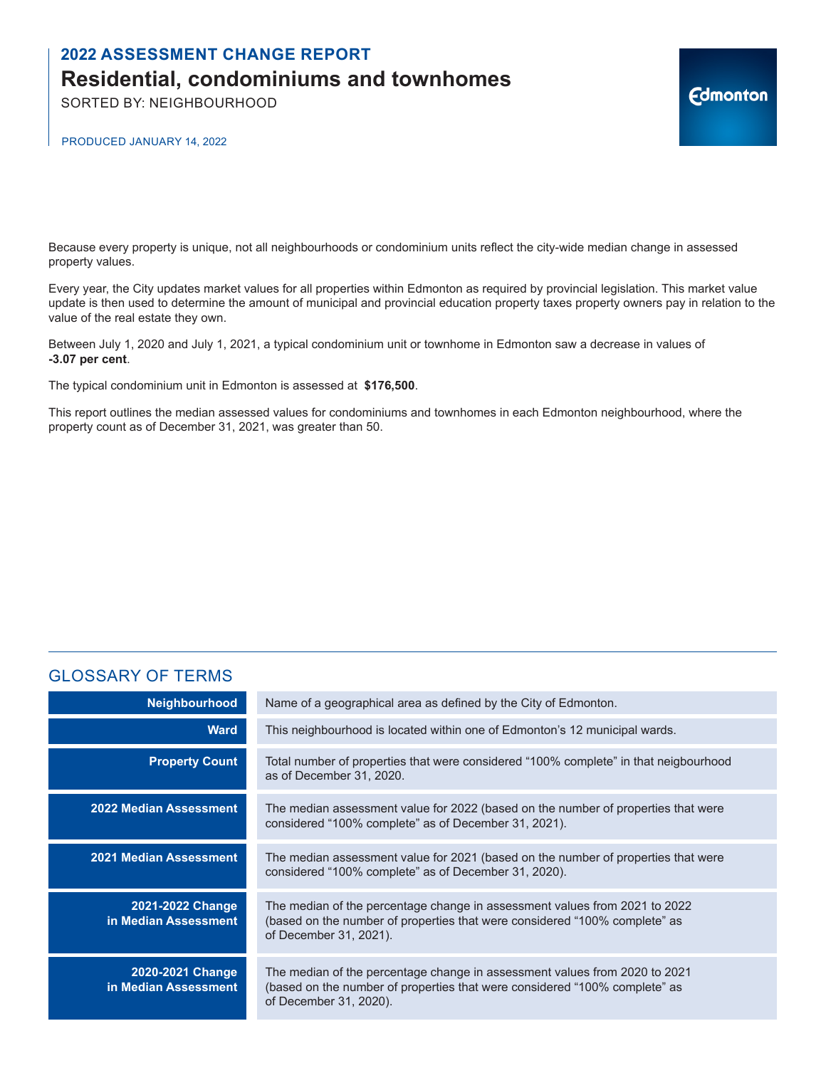SORTED BY: NEIGHBOURHOOD

PRODUCED JANUARY 14, 2022

Because every property is unique, not all neighbourhoods or condominium units reflect the city-wide median change in assessed property values.

Every year, the City updates market values for all properties within Edmonton as required by provincial legislation. This market value update is then used to determine the amount of municipal and provincial education property taxes property owners pay in relation to the value of the real estate they own.

**Edmonton** 

Between July 1, 2020 and July 1, 2021, a typical condominium unit or townhome in Edmonton saw a decrease in values of **-3.07 per cent**.

The typical condominium unit in Edmonton is assessed at **\$176,500**.

This report outlines the median assessed values for condominiums and townhomes in each Edmonton neighbourhood, where the property count as of December 31, 2021, was greater than 50.

### GLOSSARY OF TERMS

| Neighbourhood                            | Name of a geographical area as defined by the City of Edmonton.                                                                                                                    |
|------------------------------------------|------------------------------------------------------------------------------------------------------------------------------------------------------------------------------------|
| <b>Ward</b>                              | This neighbourhood is located within one of Edmonton's 12 municipal wards.                                                                                                         |
| <b>Property Count</b>                    | Total number of properties that were considered "100% complete" in that neigbourhood<br>as of December 31, 2020.                                                                   |
| <b>2022 Median Assessment</b>            | The median assessment value for 2022 (based on the number of properties that were<br>considered "100% complete" as of December 31, 2021).                                          |
| 2021 Median Assessment                   | The median assessment value for 2021 (based on the number of properties that were<br>considered "100% complete" as of December 31, 2020).                                          |
| 2021-2022 Change<br>in Median Assessment | The median of the percentage change in assessment values from 2021 to 2022<br>(based on the number of properties that were considered "100% complete" as<br>of December 31, 2021). |
| 2020-2021 Change<br>in Median Assessment | The median of the percentage change in assessment values from 2020 to 2021<br>(based on the number of properties that were considered "100% complete" as<br>of December 31, 2020). |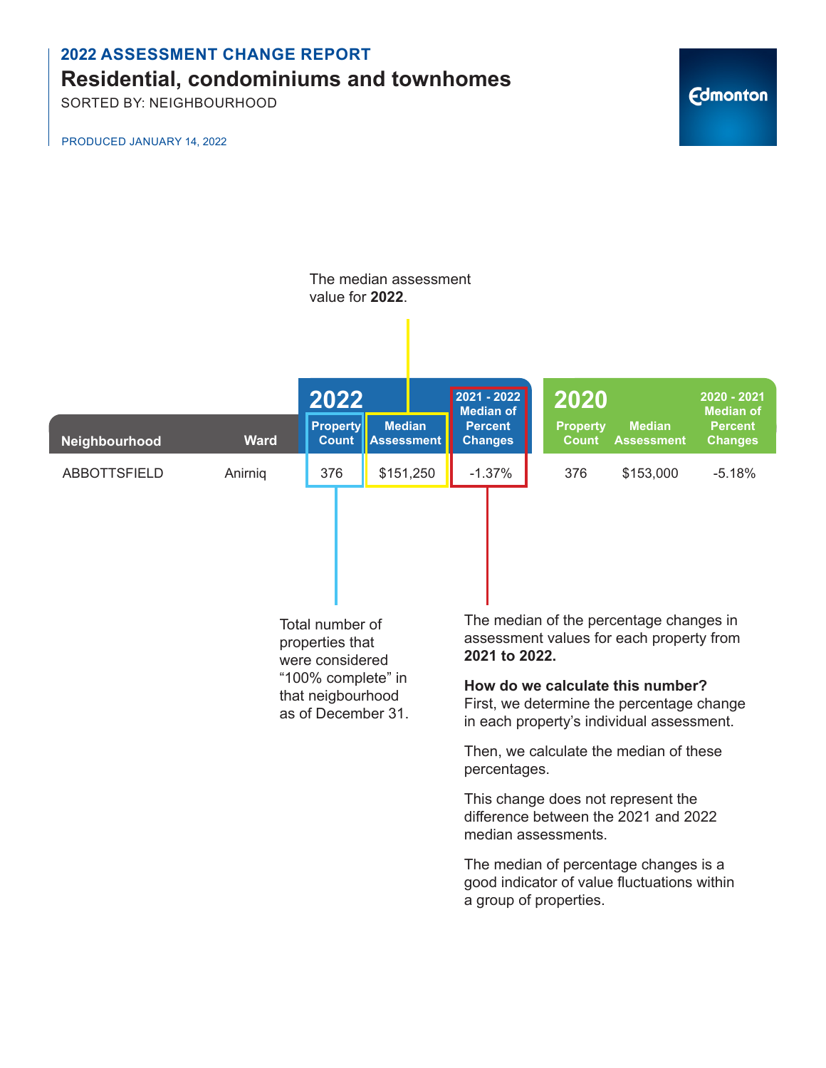SORTED BY: NEIGHBOURHOOD

PRODUCED JANUARY 14, 2022

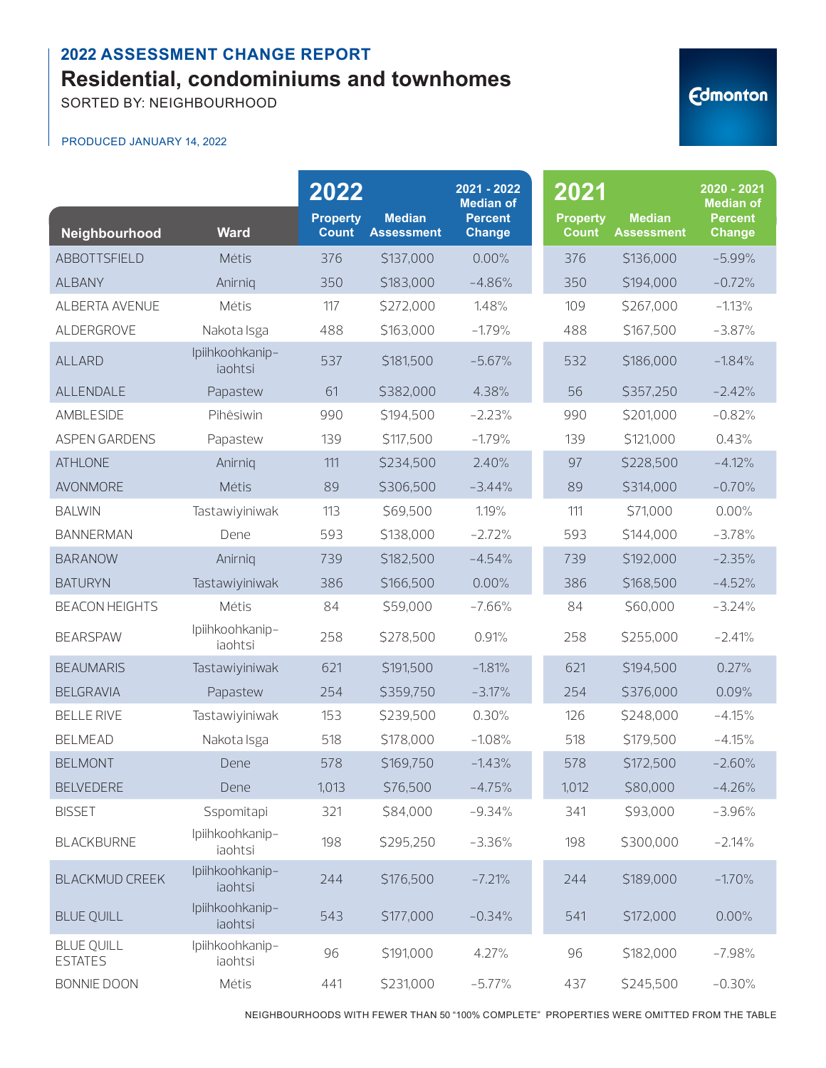SORTED BY: NEIGHBOURHOOD

#### PRODUCED JANUARY 14, 2022

| Neighbourhood                       | <b>Ward</b>                | 2022<br><b>Property</b><br><b>Count</b> | <b>Median</b><br><b>Assessment</b> | 2021 - 2022<br><b>Median of</b><br><b>Percent</b><br><b>Change</b> | 2021<br><b>Property</b><br><b>Count</b> | <b>Median</b><br><b>Assessment</b> | $2020 - 2021$<br><b>Median of</b><br><b>Percent</b><br><b>Change</b> |
|-------------------------------------|----------------------------|-----------------------------------------|------------------------------------|--------------------------------------------------------------------|-----------------------------------------|------------------------------------|----------------------------------------------------------------------|
| ABBOTTSFIELD                        | Métis                      | 376                                     | \$137,000                          | 0.00%                                                              | 376                                     | \$136,000                          | $-5.99%$                                                             |
| <b>ALBANY</b>                       | Anirniq                    | 350                                     | \$183,000                          | $-4.86%$                                                           | 350                                     | \$194,000                          | $-0.72%$                                                             |
| ALBERTA AVENUE                      | Métis                      | 117                                     | \$272,000                          | 1.48%                                                              | 109                                     | \$267,000                          | $-1.13%$                                                             |
| ALDERGROVE                          | Nakota Isga                | 488                                     | \$163,000                          | $-1.79%$                                                           | 488                                     | \$167,500                          | $-3.87%$                                                             |
| <b>ALLARD</b>                       | Ipiihkoohkanip-<br>jaohtsi | 537                                     | \$181,500                          | $-5.67%$                                                           | 532                                     | \$186,000                          | $-1.84%$                                                             |
| ALLENDALE                           | Papastew                   | 61                                      | \$382,000                          | 4.38%                                                              | 56                                      | \$357,250                          | $-2.42%$                                                             |
| AMBLESIDE                           | Pihêsiwin                  | 990                                     | \$194,500                          | $-2.23%$                                                           | 990                                     | \$201,000                          | $-0.82%$                                                             |
| <b>ASPEN GARDENS</b>                | Papastew                   | 139                                     | \$117,500                          | $-1.79%$                                                           | 139                                     | \$121,000                          | 0.43%                                                                |
| <b>ATHLONE</b>                      | Anirnig                    | 111                                     | \$234,500                          | 2.40%                                                              | 97                                      | \$228,500                          | $-4.12%$                                                             |
| <b>AVONMORE</b>                     | Métis                      | 89                                      | \$306,500                          | $-3.44%$                                                           | 89                                      | \$314,000                          | $-0.70%$                                                             |
| <b>BALWIN</b>                       | Tastawiyiniwak             | 113                                     | \$69,500                           | 1.19%                                                              | 111                                     | \$71,000                           | 0.00%                                                                |
| <b>BANNERMAN</b>                    | Dene                       | 593                                     | \$138,000                          | $-2.72%$                                                           | 593                                     | \$144,000                          | $-3.78%$                                                             |
| <b>BARANOW</b>                      | Anirniq                    | 739                                     | \$182,500                          | $-4.54%$                                                           | 739                                     | \$192,000                          | $-2.35%$                                                             |
| <b>BATURYN</b>                      | Tastawiyiniwak             | 386                                     | \$166,500                          | 0.00%                                                              | 386                                     | \$168,500                          | $-4.52%$                                                             |
| <b>BEACON HEIGHTS</b>               | Métis                      | 84                                      | \$59,000                           | $-7.66%$                                                           | 84                                      | \$60,000                           | $-3.24%$                                                             |
| <b>BEARSPAW</b>                     | Ipiihkoohkanip-<br>iaohtsi | 258                                     | \$278,500                          | 0.91%                                                              | 258                                     | \$255,000                          | $-2.41%$                                                             |
| <b>BEAUMARIS</b>                    | Tastawiyiniwak             | 621                                     | \$191,500                          | $-1.81%$                                                           | 621                                     | \$194,500                          | 0.27%                                                                |
| <b>BELGRAVIA</b>                    | Papastew                   | 254                                     | \$359,750                          | $-3.17%$                                                           | 254                                     | \$376,000                          | 0.09%                                                                |
| <b>BELLE RIVE</b>                   | Tastawiyiniwak             | 153                                     | \$239,500                          | 0.30%                                                              | 126                                     | \$248,000                          | $-4.15%$                                                             |
| <b>BELMEAD</b>                      | Nakota Isga                | 518                                     | \$178,000                          | $-1.08%$                                                           | 518                                     | \$179,500                          | $-4.15%$                                                             |
| <b>BELMONT</b>                      | Dene                       | 578                                     | \$169,750                          | $-1.43%$                                                           | 578                                     | \$172,500                          | $-2.60%$                                                             |
| <b>BELVEDERE</b>                    | Dene                       | 1,013                                   | \$76,500                           | $-4.75%$                                                           | 1,012                                   | \$80,000                           | $-4.26%$                                                             |
| <b>BISSET</b>                       | Sspomitapi                 | 321                                     | \$84,000                           | $-9.34%$                                                           | 341                                     | \$93,000                           | $-3.96%$                                                             |
| <b>BLACKBURNE</b>                   | Ipiihkoohkanip-<br>iaohtsi | 198                                     | \$295,250                          | $-3.36%$                                                           | 198                                     | \$300,000                          | $-2.14%$                                                             |
| <b>BLACKMUD CREEK</b>               | Ipiihkoohkanip-<br>iaohtsi | 244                                     | \$176,500                          | $-7.21%$                                                           | 244                                     | \$189,000                          | $-1.70%$                                                             |
| <b>BLUE QUILL</b>                   | Ipiihkoohkanip-<br>iaohtsi | 543                                     | \$177,000                          | $-0.34%$                                                           | 541                                     | \$172,000                          | 0.00%                                                                |
| <b>BLUE OUILL</b><br><b>ESTATES</b> | Ipiihkoohkanip-<br>iaohtsi | 96                                      | \$191,000                          | 4.27%                                                              | 96                                      | \$182,000                          | $-7.98%$                                                             |
| <b>BONNIE DOON</b>                  | Métis                      | 441                                     | \$231,000                          | $-5.77%$                                                           | 437                                     | \$245,500                          | $-0.30%$                                                             |

NEIGHBOURHOODS WITH FEWER THAN 50 "100% COMPLETE" PROPERTIES WERE OMITTED FROM THE TABLE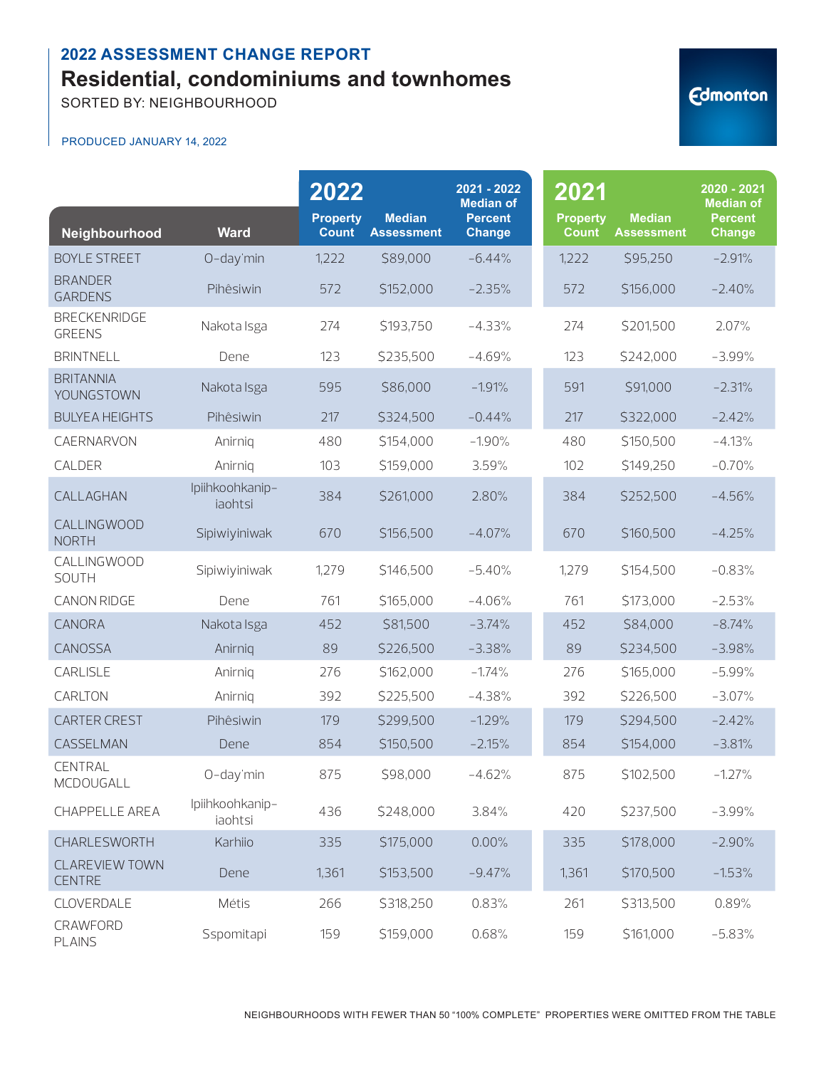SORTED BY: NEIGHBOURHOOD

#### PRODUCED JANUARY 14, 2022

| <b>Edmonton</b> |  |  |  |
|-----------------|--|--|--|
|                 |  |  |  |

|                                        |                            | 2022                            |                                    | 2021 - 2022<br><b>Median of</b> | 2021                            |                                    | 2020 - 2021<br><b>Median of</b> |
|----------------------------------------|----------------------------|---------------------------------|------------------------------------|---------------------------------|---------------------------------|------------------------------------|---------------------------------|
| Neighbourhood                          | <b>Ward</b>                | <b>Property</b><br><b>Count</b> | <b>Median</b><br><b>Assessment</b> | <b>Percent</b><br><b>Change</b> | <b>Property</b><br><b>Count</b> | <b>Median</b><br><b>Assessment</b> | <b>Percent</b><br>Change        |
| <b>BOYLE STREET</b>                    | O-day'min                  | 1,222                           | \$89,000                           | $-6.44%$                        | 1,222                           | \$95,250                           | $-2.91%$                        |
| <b>BRANDER</b><br><b>GARDENS</b>       | Pihêsiwin                  | 572                             | \$152,000                          | $-2.35%$                        | 572                             | \$156,000                          | $-2.40%$                        |
| <b>BRECKENRIDGE</b><br><b>GREENS</b>   | Nakota Isga                | 274                             | \$193,750                          | $-4.33%$                        | 274                             | \$201,500                          | 2.07%                           |
| <b>BRINTNELL</b>                       | Dene                       | 123                             | \$235,500                          | $-4.69%$                        | 123                             | \$242,000                          | $-3.99%$                        |
| <b>BRITANNIA</b><br>YOUNGSTOWN         | Nakota Isga                | 595                             | \$86,000                           | $-1.91%$                        | 591                             | \$91,000                           | $-2.31%$                        |
| <b>BULYEA HEIGHTS</b>                  | Pihêsiwin                  | 217                             | \$324,500                          | $-0.44%$                        | 217                             | \$322,000                          | $-2.42%$                        |
| CAERNARVON                             | Anirnig                    | 480                             | \$154,000                          | $-1.90%$                        | 480                             | \$150,500                          | $-4.13%$                        |
| CALDER                                 | Anirnig                    | 103                             | \$159,000                          | 3.59%                           | 102                             | \$149,250                          | $-0.70%$                        |
| CALLAGHAN                              | Ipiihkoohkanip-<br>iaohtsi | 384                             | \$261,000                          | 2.80%                           | 384                             | \$252,500                          | $-4.56%$                        |
| <b>CALLINGWOOD</b><br><b>NORTH</b>     | Sipiwiyiniwak              | 670                             | \$156,500                          | $-4.07%$                        | 670                             | \$160,500                          | $-4.25%$                        |
| CALLINGWOOD<br>SOUTH                   | Sipiwiyiniwak              | 1,279                           | \$146,500                          | $-5.40%$                        | 1,279                           | \$154,500                          | $-0.83%$                        |
| CANON RIDGE                            | Dene                       | 761                             | \$165,000                          | $-4.06%$                        | 761                             | \$173,000                          | $-2.53%$                        |
| CANORA                                 | Nakota Isga                | 452                             | \$81,500                           | $-3.74%$                        | 452                             | \$84,000                           | $-8.74%$                        |
| CANOSSA                                | Anirniq                    | 89                              | \$226,500                          | $-3.38%$                        | 89                              | \$234,500                          | $-3.98%$                        |
| CARLISLE                               | Anirnig                    | 276                             | \$162,000                          | $-1.74%$                        | 276                             | \$165,000                          | $-5.99%$                        |
| CARLTON                                | Anirnig                    | 392                             | \$225,500                          | $-4.38%$                        | 392                             | \$226,500                          | $-3.07%$                        |
| <b>CARTER CREST</b>                    | Pihêsiwin                  | 179                             | \$299,500                          | $-1.29%$                        | 179                             | \$294,500                          | $-2.42%$                        |
| CASSELMAN                              | Dene                       | 854                             | \$150,500                          | $-2.15%$                        | 854                             | \$154,000                          | $-3.81%$                        |
| <b>CENTRAL</b><br>MCDOUGALL            | O-day'min                  | 875                             | \$98,000                           | $-4.62%$                        | 875                             | \$102,500                          | $-1.27%$                        |
| CHAPPELLE AREA                         | Ipiihkoohkanip-<br>iaohtsi | 436                             | \$248,000                          | 3.84%                           | 420                             | \$237,500                          | $-3.99%$                        |
| CHARLESWORTH                           | Karhiio                    | 335                             | \$175,000                          | 0.00%                           | 335                             | \$178,000                          | $-2.90%$                        |
| <b>CLAREVIEW TOWN</b><br><b>CENTRE</b> | Dene                       | 1,361                           | \$153,500                          | $-9.47%$                        | 1,361                           | \$170,500                          | $-1.53%$                        |
| CLOVERDALE                             | Métis                      | 266                             | \$318,250                          | 0.83%                           | 261                             | \$313,500                          | 0.89%                           |
| CRAWFORD<br><b>PLAINS</b>              | Sspomitapi                 | 159                             | \$159,000                          | 0.68%                           | 159                             | \$161,000                          | $-5.83%$                        |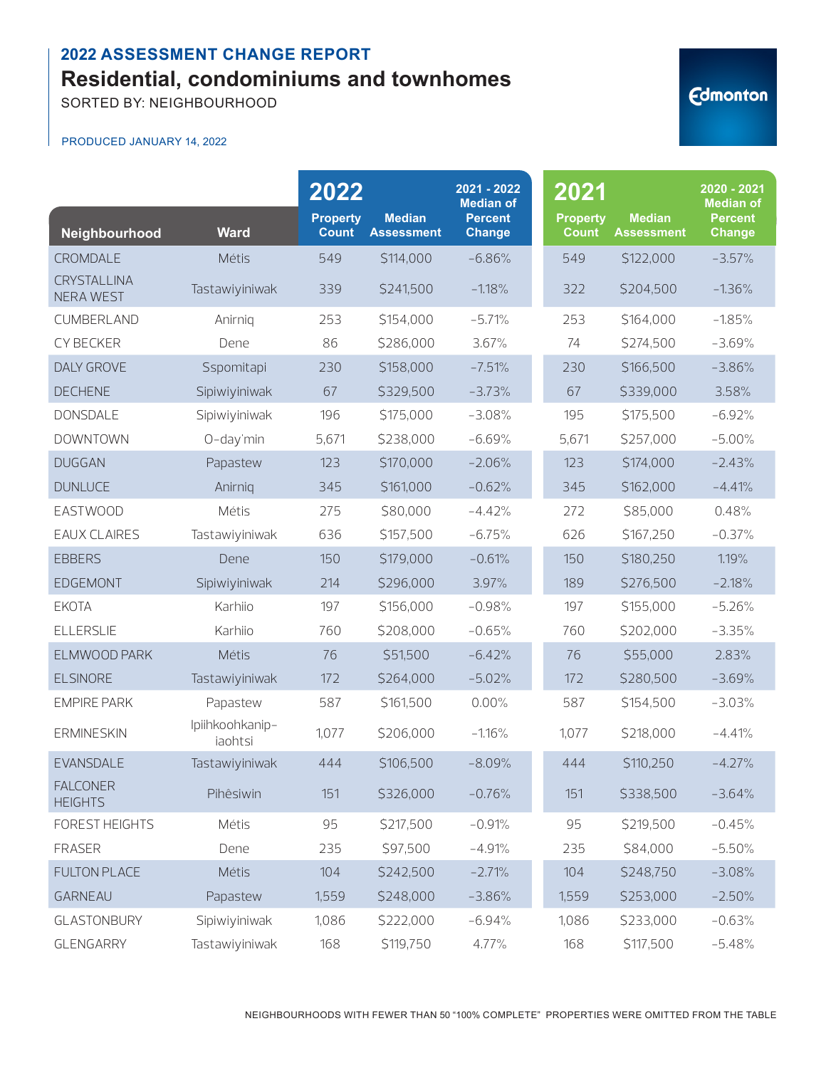SORTED BY: NEIGHBOURHOOD

#### PRODUCED JANUARY 14, 2022

| Neighbourhood                          | <b>Ward</b>                | 2022<br><b>Property</b><br><b>Count</b> | <b>Median</b><br><b>Assessment</b> | 2021 - 2022<br><b>Median of</b><br><b>Percent</b><br><b>Change</b> | 2021<br><b>Property</b><br><b>Count</b> | <b>Median</b><br><b>Assessment</b> | 2020 - 2021<br><b>Median of</b><br><b>Percent</b><br><b>Change</b> |
|----------------------------------------|----------------------------|-----------------------------------------|------------------------------------|--------------------------------------------------------------------|-----------------------------------------|------------------------------------|--------------------------------------------------------------------|
| CROMDALE                               | Métis                      | 549                                     | \$114,000                          | $-6.86%$                                                           | 549                                     | \$122,000                          | $-3.57%$                                                           |
| <b>CRYSTALLINA</b><br><b>NERA WEST</b> | Tastawiyiniwak             | 339                                     | \$241,500                          | $-1.18%$                                                           | 322                                     | \$204,500                          | $-1.36%$                                                           |
| CUMBERLAND                             | Anirnig                    | 253                                     | \$154,000                          | $-5.71%$                                                           | 253                                     | \$164,000                          | $-1.85%$                                                           |
| CY BECKER                              | Dene                       | 86                                      | \$286,000                          | 3.67%                                                              | 74                                      | \$274,500                          | $-3.69%$                                                           |
| <b>DALY GROVE</b>                      | Sspomitapi                 | 230                                     | \$158,000                          | $-7.51%$                                                           | 230                                     | \$166,500                          | $-3.86%$                                                           |
| <b>DECHENE</b>                         | Sipiwiyiniwak              | 67                                      | \$329,500                          | $-3.73%$                                                           | 67                                      | \$339,000                          | 3.58%                                                              |
| <b>DONSDALE</b>                        | Sipiwiyiniwak              | 196                                     | \$175,000                          | $-3.08%$                                                           | 195                                     | \$175,500                          | $-6.92%$                                                           |
| <b>DOWNTOWN</b>                        | O-day'min                  | 5,671                                   | \$238,000                          | $-6.69%$                                                           | 5,671                                   | \$257,000                          | $-5.00%$                                                           |
| <b>DUGGAN</b>                          | Papastew                   | 123                                     | \$170,000                          | $-2.06%$                                                           | 123                                     | \$174,000                          | $-2.43%$                                                           |
| <b>DUNLUCE</b>                         | Anirnig                    | 345                                     | \$161,000                          | $-0.62%$                                                           | 345                                     | \$162,000                          | $-4.41%$                                                           |
| <b>EASTWOOD</b>                        | Métis                      | 275                                     | \$80,000                           | $-4.42%$                                                           | 272                                     | \$85,000                           | 0.48%                                                              |
| <b>EAUX CLAIRES</b>                    | Tastawiyiniwak             | 636                                     | \$157,500                          | $-6.75%$                                                           | 626                                     | \$167,250                          | $-0.37%$                                                           |
| <b>EBBERS</b>                          | Dene                       | 150                                     | \$179,000                          | $-0.61%$                                                           | 150                                     | \$180,250                          | 1.19%                                                              |
| <b>EDGEMONT</b>                        | Sipiwiyiniwak              | 214                                     | \$296,000                          | 3.97%                                                              | 189                                     | \$276,500                          | $-2.18%$                                                           |
| <b>EKOTA</b>                           | Karhiio                    | 197                                     | \$156,000                          | $-0.98%$                                                           | 197                                     | \$155,000                          | $-5.26%$                                                           |
| <b>ELLERSLIE</b>                       | Karhiio                    | 760                                     | \$208,000                          | $-0.65%$                                                           | 760                                     | \$202,000                          | $-3.35%$                                                           |
| ELMWOOD PARK                           | Métis                      | 76                                      | \$51,500                           | $-6.42%$                                                           | 76                                      | \$55,000                           | 2.83%                                                              |
| <b>ELSINORE</b>                        | Tastawiyiniwak             | 172                                     | \$264,000                          | $-5.02%$                                                           | 172                                     | \$280,500                          | $-3.69%$                                                           |
| <b>EMPIRE PARK</b>                     | Papastew                   | 587                                     | \$161,500                          | 0.00%                                                              | 587                                     | \$154,500                          | $-3.03%$                                                           |
| <b>ERMINESKIN</b>                      | Ipiihkoohkanip-<br>iaohtsi | 1,077                                   | \$206,000                          | $-1.16%$                                                           | 1,077                                   | \$218,000                          | $-4.41%$                                                           |
| <b>EVANSDALE</b>                       | Tastawiyiniwak             | 444                                     | \$106,500                          | $-8.09%$                                                           | 444                                     | \$110,250                          | $-4.27%$                                                           |
| <b>FALCONER</b><br><b>HEIGHTS</b>      | Pihêsiwin                  | 151                                     | \$326,000                          | $-0.76%$                                                           | 151                                     | \$338,500                          | $-3.64%$                                                           |
| FOREST HEIGHTS                         | Métis                      | 95                                      | \$217,500                          | $-0.91%$                                                           | 95                                      | \$219,500                          | $-0.45%$                                                           |
| <b>FRASER</b>                          | Dene                       | 235                                     | \$97,500                           | $-4.91%$                                                           | 235                                     | \$84,000                           | $-5.50%$                                                           |
| <b>FULTON PLACE</b>                    | Métis                      | 104                                     | \$242,500                          | $-2.71%$                                                           | 104                                     | \$248,750                          | $-3.08%$                                                           |
| GARNEAU                                | Papastew                   | 1,559                                   | \$248,000                          | $-3.86%$                                                           | 1,559                                   | \$253,000                          | $-2.50%$                                                           |
| <b>GLASTONBURY</b>                     | Sipiwiyiniwak              | 1,086                                   | \$222,000                          | $-6.94%$                                                           | 1,086                                   | \$233,000                          | $-0.63%$                                                           |
| GLENGARRY                              | Tastawiyiniwak             | 168                                     | \$119,750                          | 4.77%                                                              | 168                                     | \$117,500                          | $-5.48%$                                                           |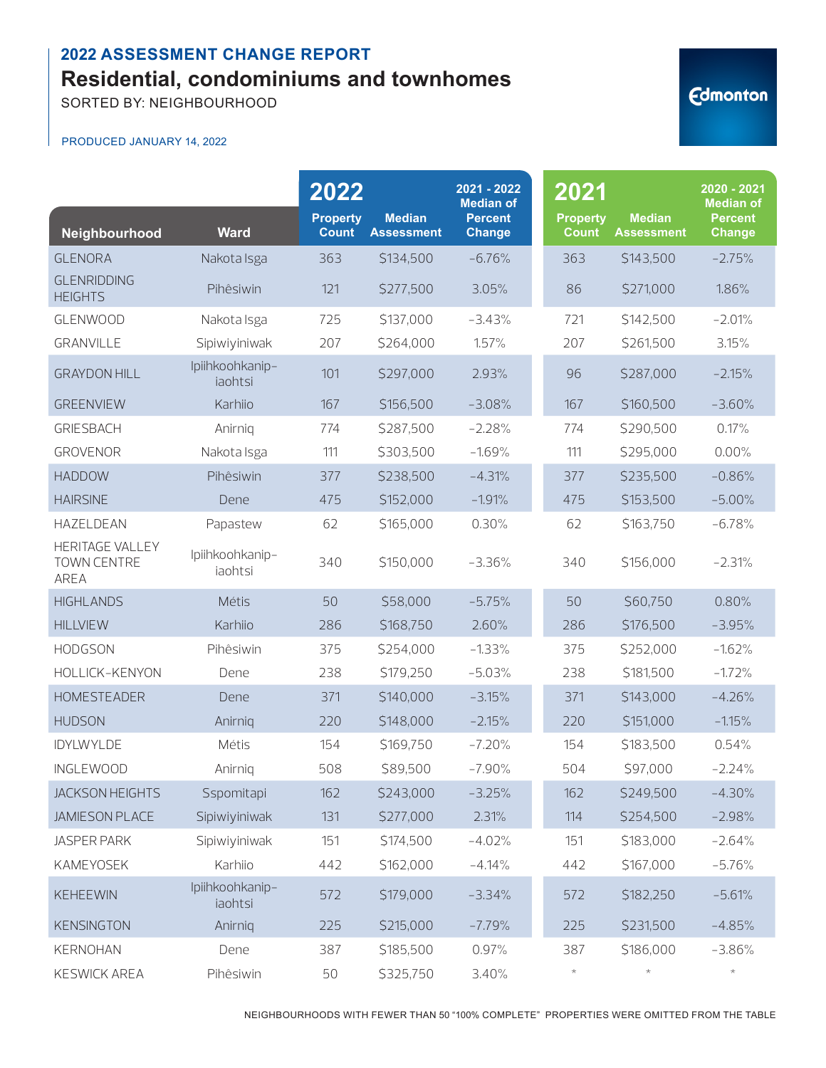SORTED BY: NEIGHBOURHOOD

#### PRODUCED JANUARY 14, 2022

| Neighbourhood                                        | <b>Ward</b>                | 2022<br><b>Property</b><br><b>Count</b> | <b>Median</b><br><b>Assessment</b> | 2021 - 2022<br><b>Median of</b><br><b>Percent</b><br><b>Change</b> | 2021<br><b>Property</b><br><b>Count</b> | <b>Median</b><br><b>Assessment</b> | 2020 - 2021<br><b>Median of</b><br><b>Percent</b><br><b>Change</b> |
|------------------------------------------------------|----------------------------|-----------------------------------------|------------------------------------|--------------------------------------------------------------------|-----------------------------------------|------------------------------------|--------------------------------------------------------------------|
| <b>GLENORA</b>                                       | Nakota Isga                | 363                                     | \$134,500                          | $-6.76%$                                                           | 363                                     | \$143,500                          | $-2.75%$                                                           |
| <b>GLENRIDDING</b><br><b>HEIGHTS</b>                 | Pihêsiwin                  | 121                                     | \$277,500                          | 3.05%                                                              | 86                                      | \$271,000                          | 1.86%                                                              |
| <b>GLENWOOD</b>                                      | Nakota Isga                | 725                                     | \$137,000                          | $-3.43%$                                                           | 721                                     | \$142,500                          | $-2.01%$                                                           |
| <b>GRANVILLE</b>                                     | Sipiwiyiniwak              | 207                                     | \$264,000                          | 1.57%                                                              | 207                                     | \$261,500                          | 3.15%                                                              |
| <b>GRAYDON HILL</b>                                  | Ipiihkoohkanip-<br>iaohtsi | 101                                     | \$297,000                          | 2.93%                                                              | 96                                      | \$287,000                          | $-2.15%$                                                           |
| <b>GREENVIEW</b>                                     | Karhiio                    | 167                                     | \$156,500                          | $-3.08%$                                                           | 167                                     | \$160,500                          | $-3.60%$                                                           |
| <b>GRIESBACH</b>                                     | Anirnig                    | 774                                     | \$287,500                          | $-2.28%$                                                           | 774                                     | \$290,500                          | 0.17%                                                              |
| <b>GROVENOR</b>                                      | Nakota Isga                | 111                                     | \$303,500                          | $-1.69%$                                                           | 111                                     | \$295,000                          | 0.00%                                                              |
| <b>HADDOW</b>                                        | Pihêsiwin                  | 377                                     | \$238,500                          | $-4.31%$                                                           | 377                                     | \$235,500                          | $-0.86%$                                                           |
| <b>HAIRSINE</b>                                      | Dene                       | 475                                     | \$152,000                          | $-1.91%$                                                           | 475                                     | \$153,500                          | $-5.00%$                                                           |
| HAZELDEAN                                            | Papastew                   | 62                                      | \$165,000                          | 0.30%                                                              | 62                                      | \$163,750                          | $-6.78%$                                                           |
| HERITAGE VALLEY<br><b>TOWN CENTRE</b><br><b>AREA</b> | Ipiihkoohkanip-<br>iaohtsi | 340                                     | \$150,000                          | $-3.36%$                                                           | 340                                     | \$156,000                          | $-2.31%$                                                           |
| <b>HIGHLANDS</b>                                     | Métis                      | 50                                      | \$58,000                           | $-5.75%$                                                           | 50                                      | \$60,750                           | 0.80%                                                              |
| <b>HILLVIEW</b>                                      | Karhiio                    | 286                                     | \$168,750                          | 2.60%                                                              | 286                                     | \$176,500                          | $-3.95%$                                                           |
| <b>HODGSON</b>                                       | Pihêsiwin                  | 375                                     | \$254,000                          | $-1.33%$                                                           | 375                                     | \$252,000                          | $-1.62%$                                                           |
| HOLLICK-KENYON                                       | Dene                       | 238                                     | \$179,250                          | $-5.03%$                                                           | 238                                     | \$181,500                          | $-1.72%$                                                           |
| <b>HOMESTEADER</b>                                   | Dene                       | 371                                     | \$140,000                          | $-3.15%$                                                           | 371                                     | \$143,000                          | $-4.26%$                                                           |
| <b>HUDSON</b>                                        | Anirniq                    | 220                                     | \$148,000                          | $-2.15%$                                                           | 220                                     | \$151,000                          | $-1.15%$                                                           |
| <b>IDYLWYLDE</b>                                     | Métis                      | 154                                     | \$169,750                          | $-7.20%$                                                           | 154                                     | \$183,500                          | 0.54%                                                              |
| <b>INGLEWOOD</b>                                     | Anirnig                    | 508                                     | \$89,500                           | $-7.90%$                                                           | 504                                     | \$97,000                           | $-2.24%$                                                           |
| <b>JACKSON HEIGHTS</b>                               | Sspomitapi                 | 162                                     | \$243,000                          | $-3.25%$                                                           | 162                                     | \$249,500                          | $-4.30%$                                                           |
| <b>JAMIESON PLACE</b>                                | Sipiwiyiniwak              | 131                                     | \$277,000                          | 2.31%                                                              | 114                                     | \$254,500                          | $-2.98%$                                                           |
| <b>JASPER PARK</b>                                   | Sipiwiyiniwak              | 151                                     | \$174,500                          | $-4.02%$                                                           | 151                                     | \$183,000                          | $-2.64%$                                                           |
| KAMEYOSEK                                            | Karhiio                    | 442                                     | \$162,000                          | $-4.14%$                                                           | 442                                     | \$167,000                          | $-5.76%$                                                           |
| <b>KEHEEWIN</b>                                      | Ipiihkoohkanip-<br>iaohtsi | 572                                     | \$179,000                          | $-3.34%$                                                           | 572                                     | \$182,250                          | $-5.61%$                                                           |
| <b>KENSINGTON</b>                                    | Anirniq                    | 225                                     | \$215,000                          | $-7.79%$                                                           | 225                                     | \$231,500                          | $-4.85%$                                                           |
| <b>KERNOHAN</b>                                      | Dene                       | 387                                     | \$185,500                          | 0.97%                                                              | 387                                     | \$186,000                          | $-3.86%$                                                           |
| <b>KESWICK AREA</b>                                  | Pihêsiwin                  | $50\,$                                  | \$325,750                          | 3.40%                                                              | $\star$                                 | $\star$                            | $\star$                                                            |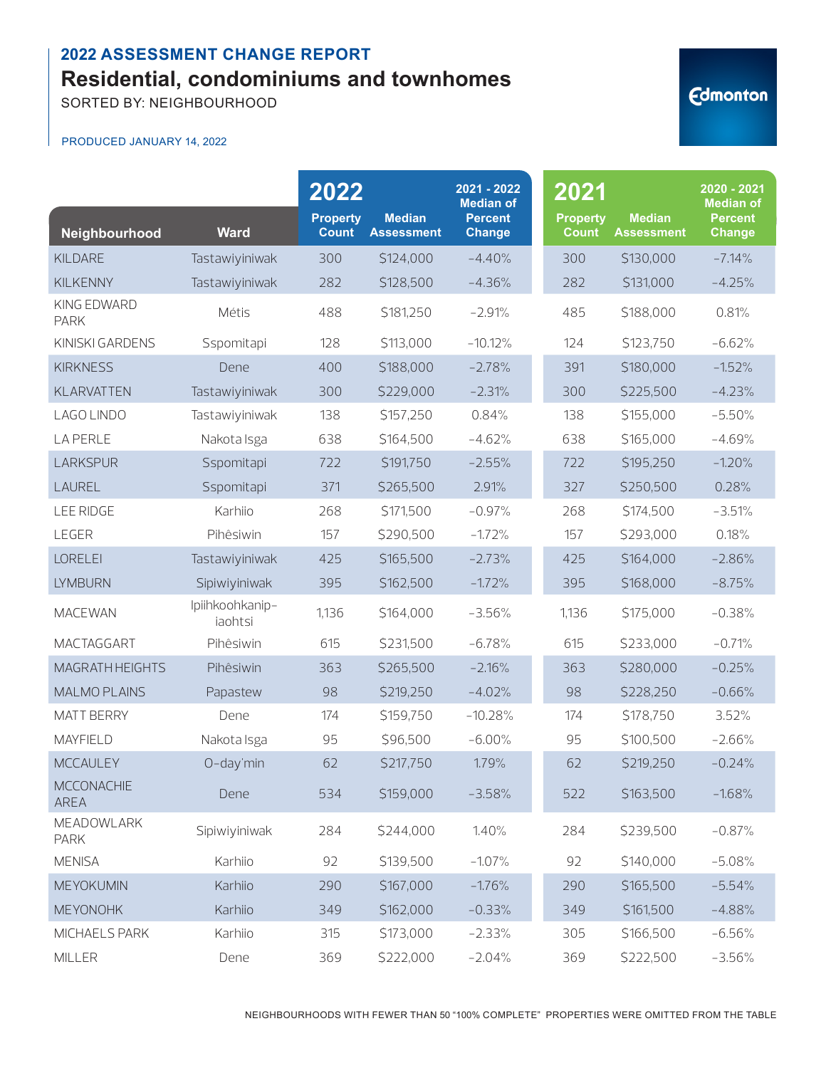SORTED BY: NEIGHBOURHOOD

#### PRODUCED JANUARY 14, 2022

| Neighbourhood              | <b>Ward</b>                | 2022<br><b>Property</b><br>Count | <b>Median</b><br><b>Assessment</b> | 2021 - 2022<br><b>Median of</b><br><b>Percent</b><br><b>Change</b> | 2021<br><b>Property</b><br><b>Count</b> | <b>Median</b><br><b>Assessment</b> | 2020 - 2021<br><b>Median of</b><br><b>Percent</b><br><b>Change</b> |
|----------------------------|----------------------------|----------------------------------|------------------------------------|--------------------------------------------------------------------|-----------------------------------------|------------------------------------|--------------------------------------------------------------------|
| <b>KILDARE</b>             | Tastawiyiniwak             | 300                              | \$124,000                          | $-4.40%$                                                           | 300                                     | \$130,000                          | $-7.14%$                                                           |
| <b>KILKENNY</b>            | Tastawiyiniwak             | 282                              | \$128,500                          | $-4.36%$                                                           | 282                                     | \$131,000                          | $-4.25%$                                                           |
| KING EDWARD<br><b>PARK</b> | Métis                      | 488                              | \$181,250                          | $-2.91%$                                                           | 485                                     | \$188,000                          | 0.81%                                                              |
| KINISKI GARDENS            | Sspomitapi                 | 128                              | \$113,000                          | $-10.12%$                                                          | 124                                     | \$123,750                          | $-6.62%$                                                           |
| <b>KIRKNESS</b>            | Dene                       | 400                              | \$188,000                          | $-2.78%$                                                           | 391                                     | \$180,000                          | $-1.52%$                                                           |
| <b>KLARVATTEN</b>          | Tastawiyiniwak             | 300                              | \$229,000                          | $-2.31%$                                                           | 300                                     | \$225,500                          | $-4.23%$                                                           |
| LAGO LINDO                 | Tastawiyiniwak             | 138                              | \$157,250                          | 0.84%                                                              | 138                                     | \$155,000                          | $-5.50%$                                                           |
| <b>LA PERLE</b>            | Nakota Isga                | 638                              | \$164,500                          | $-4.62%$                                                           | 638                                     | \$165,000                          | $-4.69%$                                                           |
| <b>LARKSPUR</b>            | Sspomitapi                 | 722                              | \$191,750                          | $-2.55%$                                                           | 722                                     | \$195,250                          | $-1.20%$                                                           |
| LAUREL                     | Sspomitapi                 | 371                              | \$265,500                          | 2.91%                                                              | 327                                     | \$250,500                          | 0.28%                                                              |
| <b>LEE RIDGE</b>           | Karhiio                    | 268                              | \$171,500                          | $-0.97%$                                                           | 268                                     | \$174,500                          | $-3.51%$                                                           |
| LEGER                      | Pihêsiwin                  | 157                              | \$290,500                          | $-1.72%$                                                           | 157                                     | \$293,000                          | 0.18%                                                              |
| <b>LORELEI</b>             | Tastawiyiniwak             | 425                              | \$165,500                          | $-2.73%$                                                           | 425                                     | \$164,000                          | $-2.86%$                                                           |
| <b>LYMBURN</b>             | Sipiwiyiniwak              | 395                              | \$162,500                          | $-1.72%$                                                           | 395                                     | \$168,000                          | $-8.75%$                                                           |
| <b>MACEWAN</b>             | Ipiihkoohkanip-<br>iaohtsi | 1,136                            | \$164,000                          | $-3.56%$                                                           | 1,136                                   | \$175,000                          | $-0.38%$                                                           |
| MACTAGGART                 | Pihêsiwin                  | 615                              | \$231,500                          | $-6.78%$                                                           | 615                                     | \$233,000                          | $-0.71%$                                                           |
| MAGRATH HEIGHTS            | Pihêsiwin                  | 363                              | \$265,500                          | $-2.16%$                                                           | 363                                     | \$280,000                          | $-0.25%$                                                           |
| <b>MALMO PLAINS</b>        | Papastew                   | 98                               | \$219,250                          | $-4.02%$                                                           | 98                                      | \$228,250                          | $-0.66%$                                                           |
| <b>MATT BERRY</b>          | Dene                       | 174                              | \$159,750                          | $-10.28%$                                                          | 174                                     | \$178,750                          | 3.52%                                                              |
| <b>MAYFIELD</b>            | Nakota Isga                | 95                               | \$96,500                           | $-6.00%$                                                           | 95                                      | \$100,500                          | $-2.66%$                                                           |
| <b>MCCAULEY</b>            | O-day'min                  | 62                               | \$217,750                          | 1.79%                                                              | 62                                      | \$219,250                          | $-0.24%$                                                           |
| <b>MCCONACHIE</b><br>AREA  | Dene                       | 534                              | \$159,000                          | $-3.58%$                                                           | 522                                     | \$163,500                          | $-1.68%$                                                           |
| MEADOWLARK<br><b>PARK</b>  | Sipiwiyiniwak              | 284                              | \$244,000                          | 1.40%                                                              | 284                                     | \$239,500                          | $-0.87%$                                                           |
| <b>MENISA</b>              | Karhiio                    | 92                               | \$139,500                          | $-1.07%$                                                           | 92                                      | \$140,000                          | $-5.08%$                                                           |
| MEYOKUMIN                  | Karhiio                    | 290                              | \$167,000                          | $-1.76%$                                                           | 290                                     | \$165,500                          | $-5.54%$                                                           |
| <b>MEYONOHK</b>            | Karhiio                    | 349                              | \$162,000                          | $-0.33%$                                                           | 349                                     | \$161,500                          | $-4.88%$                                                           |
| MICHAELS PARK              | Karhiio                    | 315                              | \$173,000                          | $-2.33%$                                                           | 305                                     | \$166,500                          | $-6.56%$                                                           |
| MILLER                     | Dene                       | 369                              | \$222,000                          | $-2.04%$                                                           | 369                                     | \$222,500                          | $-3.56%$                                                           |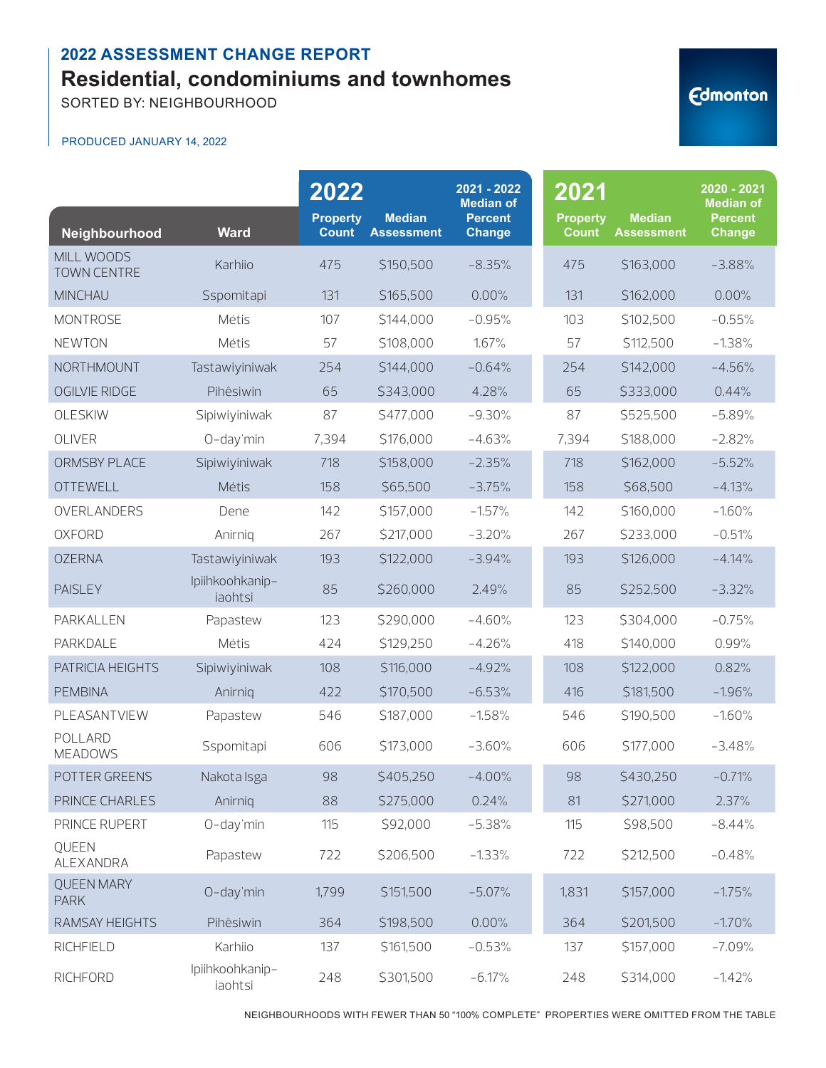SORTED BY: NEIGHBOURHOOD

#### PRODUCED JANUARY 14, 2022

| Neighbourhood                    | <b>Ward</b>                | 2022<br><b>Property</b><br><b>Count</b> | <b>Median</b><br><b>Assessment</b> | 2021 - 2022<br><b>Median of</b><br><b>Percent</b><br><b>Change</b> | 2021<br><b>Property</b><br><b>Count</b> | <b>Median</b><br><b>Assessment</b> | 2020 - 2021<br><b>Median of</b><br><b>Percent</b><br>Change |
|----------------------------------|----------------------------|-----------------------------------------|------------------------------------|--------------------------------------------------------------------|-----------------------------------------|------------------------------------|-------------------------------------------------------------|
| MILL WOODS<br><b>TOWN CENTRE</b> | Karhiio                    | 475                                     | \$150,500                          | $-8.35%$                                                           | 475                                     | \$163,000                          | $-3.88%$                                                    |
| <b>MINCHAU</b>                   | Sspomitapi                 | 131                                     | \$165,500                          | 0.00%                                                              | 131                                     | \$162,000                          | 0.00%                                                       |
| <b>MONTROSE</b>                  | Métis                      | 107                                     | \$144,000                          | $-0.95%$                                                           | 103                                     | \$102,500                          | $-0.55%$                                                    |
| <b>NEWTON</b>                    | Métis                      | 57                                      | \$108,000                          | 1.67%                                                              | 57                                      | \$112,500                          | $-1.38%$                                                    |
| NORTHMOUNT                       | Tastawiyiniwak             | 254                                     | \$144,000                          | $-0.64%$                                                           | 254                                     | \$142,000                          | $-4.56%$                                                    |
| <b>OGILVIE RIDGE</b>             | Pihêsiwin                  | 65                                      | \$343,000                          | 4.28%                                                              | 65                                      | \$333,000                          | 0.44%                                                       |
| OLESKIW                          | Sipiwiyiniwak              | 87                                      | \$477,000                          | $-9.30%$                                                           | 87                                      | \$525,500                          | $-5.89%$                                                    |
| OLIVER                           | O-day'min                  | 7,394                                   | \$176,000                          | $-4.63%$                                                           | 7,394                                   | \$188,000                          | $-2.82%$                                                    |
| ORMSBY PLACE                     | Sipiwiyiniwak              | 718                                     | \$158,000                          | $-2.35%$                                                           | 718                                     | \$162,000                          | $-5.52%$                                                    |
| <b>OTTEWELL</b>                  | Métis                      | 158                                     | \$65,500                           | $-3.75%$                                                           | 158                                     | \$68,500                           | $-4.13%$                                                    |
| OVERLANDERS                      | Dene                       | 142                                     | \$157,000                          | $-1.57%$                                                           | 142                                     | \$160,000                          | $-1.60%$                                                    |
| <b>OXFORD</b>                    | Anirnig                    | 267                                     | \$217,000                          | $-3.20%$                                                           | 267                                     | \$233,000                          | $-0.51%$                                                    |
| <b>OZERNA</b>                    | Tastawiyiniwak             | 193                                     | \$122,000                          | $-3.94%$                                                           | 193                                     | \$126,000                          | $-4.14%$                                                    |
| <b>PAISLEY</b>                   | Ipiihkoohkanip-<br>iaohtsi | 85                                      | \$260,000                          | 2.49%                                                              | 85                                      | \$252,500                          | $-3.32%$                                                    |
| PARKALLEN                        | Papastew                   | 123                                     | \$290,000                          | $-4.60%$                                                           | 123                                     | \$304,000                          | $-0.75%$                                                    |
| PARKDALE                         | Métis                      | 424                                     | \$129,250                          | $-4.26%$                                                           | 418                                     | \$140,000                          | 0.99%                                                       |
| PATRICIA HEIGHTS                 | Sipiwiyiniwak              | 108                                     | \$116,000                          | $-4.92%$                                                           | 108                                     | \$122,000                          | 0.82%                                                       |
| <b>PEMBINA</b>                   | Anirniq                    | 422                                     | \$170,500                          | $-6.53%$                                                           | 416                                     | \$181,500                          | $-1.96%$                                                    |
| PLEASANTVIEW                     | Papastew                   | 546                                     | \$187,000                          | $-1.58%$                                                           | 546                                     | \$190,500                          | $-1.60%$                                                    |
| POLLARD<br><b>MEADOWS</b>        | Sspomitapi                 | 606                                     | \$173,000                          | $-3.60%$                                                           | 606                                     | \$177,000                          | $-3.48%$                                                    |
| POTTER GREENS                    | Nakota Isga                | 98                                      | \$405,250                          | $-4.00%$                                                           | 98                                      | \$430,250                          | $-0.71%$                                                    |
| PRINCE CHARLES                   | Anirniq                    | 88                                      | \$275,000                          | 0.24%                                                              | 81                                      | \$271,000                          | 2.37%                                                       |
| PRINCE RUPERT                    | O-day'min                  | 115                                     | \$92,000                           | $-5.38%$                                                           | 115                                     | \$98,500                           | $-8.44%$                                                    |
| QUEEN<br>ALEXANDRA               | Papastew                   | 722                                     | \$206,500                          | $-1.33%$                                                           | 722                                     | \$212,500                          | $-0.48%$                                                    |
| <b>QUEEN MARY</b><br><b>PARK</b> | O-day'min                  | 1,799                                   | \$151,500                          | $-5.07%$                                                           | 1,831                                   | \$157,000                          | $-1.75%$                                                    |
| RAMSAY HEIGHTS                   | Pihêsiwin                  | 364                                     | \$198,500                          | 0.00%                                                              | 364                                     | \$201,500                          | $-1.70%$                                                    |
| RICHFIELD                        | Karhiio                    | 137                                     | \$161,500                          | $-0.53%$                                                           | 137                                     | \$157,000                          | $-7.09%$                                                    |
| <b>RICHFORD</b>                  | Ipiihkoohkanip-<br>iaohtsi | 248                                     | \$301,500                          | $-6.17%$                                                           | 248                                     | \$314,000                          | $-1.42%$                                                    |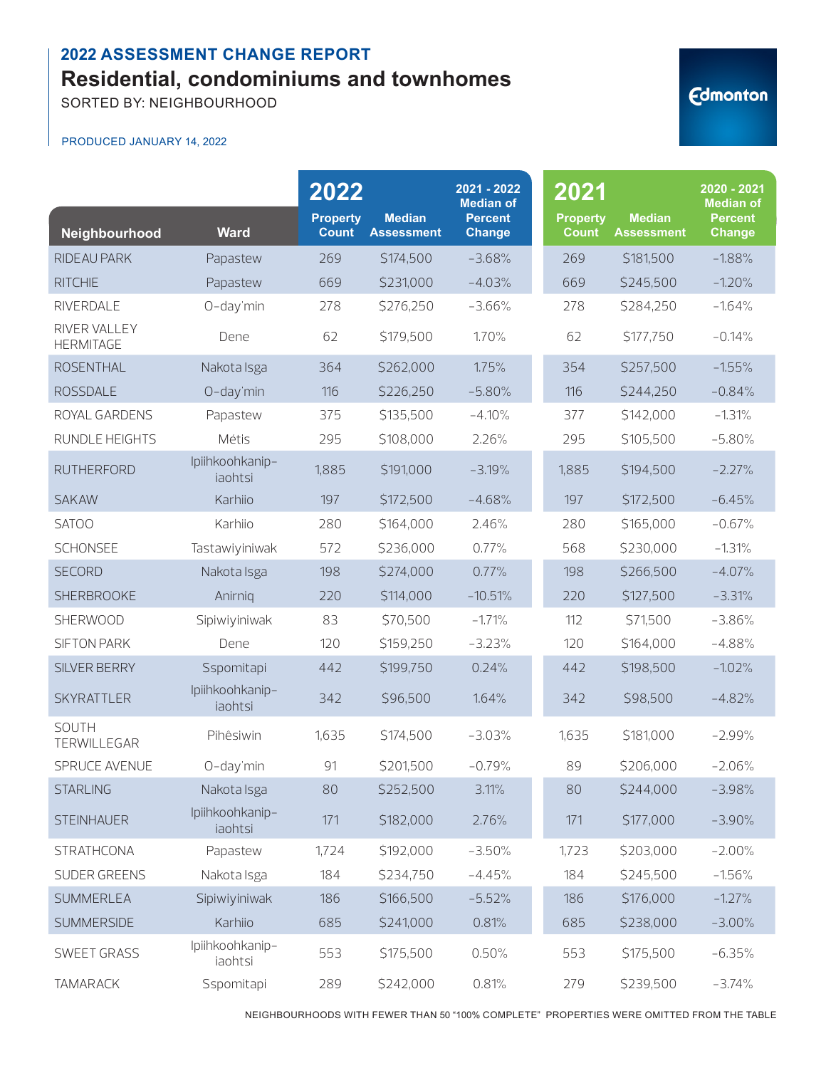SORTED BY: NEIGHBOURHOOD

#### PRODUCED JANUARY 14, 2022

| Neighbourhood                    | <b>Ward</b>                | 2022<br><b>Property</b><br><b>Count</b> | <b>Median</b><br><b>Assessment</b> | 2021 - 2022<br><b>Median of</b><br><b>Percent</b><br><b>Change</b> | 2021<br><b>Property</b><br><b>Count</b> | <b>Median</b><br><b>Assessment</b> | 2020 - 2021<br><b>Median of</b><br><b>Percent</b><br><b>Change</b> |
|----------------------------------|----------------------------|-----------------------------------------|------------------------------------|--------------------------------------------------------------------|-----------------------------------------|------------------------------------|--------------------------------------------------------------------|
| RIDEAU PARK                      | Papastew                   | 269                                     | \$174,500                          | $-3.68%$                                                           | 269                                     | \$181,500                          | $-1.88%$                                                           |
| <b>RITCHIE</b>                   | Papastew                   | 669                                     | \$231,000                          | $-4.03%$                                                           | 669                                     | \$245,500                          | $-1.20%$                                                           |
| RIVERDALE                        | O-day'min                  | 278                                     | \$276,250                          | $-3.66%$                                                           | 278                                     | \$284,250                          | $-1.64%$                                                           |
| RIVER VALLEY<br><b>HERMITAGE</b> | Dene                       | 62                                      | \$179,500                          | 1.70%                                                              | 62                                      | \$177,750                          | $-0.14%$                                                           |
| <b>ROSENTHAL</b>                 | Nakota Isga                | 364                                     | \$262,000                          | 1.75%                                                              | 354                                     | \$257,500                          | $-1.55%$                                                           |
| <b>ROSSDALE</b>                  | O-day'min                  | 116                                     | \$226,250                          | $-5.80%$                                                           | 116                                     | \$244,250                          | $-0.84%$                                                           |
| ROYAL GARDENS                    | Papastew                   | 375                                     | \$135,500                          | $-4.10%$                                                           | 377                                     | \$142,000                          | $-1.31%$                                                           |
| RUNDLE HEIGHTS                   | Métis                      | 295                                     | \$108,000                          | 2.26%                                                              | 295                                     | \$105,500                          | $-5.80%$                                                           |
| <b>RUTHERFORD</b>                | Ipiihkoohkanip-<br>iaohtsi | 1,885                                   | \$191,000                          | $-3.19%$                                                           | 1,885                                   | \$194,500                          | $-2.27%$                                                           |
| <b>SAKAW</b>                     | Karhiio                    | 197                                     | \$172,500                          | $-4.68%$                                                           | 197                                     | \$172,500                          | $-6.45%$                                                           |
| <b>SATOO</b>                     | Karhiio                    | 280                                     | \$164,000                          | 2.46%                                                              | 280                                     | \$165,000                          | $-0.67%$                                                           |
| <b>SCHONSEE</b>                  | Tastawiyiniwak             | 572                                     | \$236,000                          | 0.77%                                                              | 568                                     | \$230,000                          | $-1.31%$                                                           |
| <b>SECORD</b>                    | Nakota Isga                | 198                                     | \$274,000                          | 0.77%                                                              | 198                                     | \$266,500                          | $-4.07%$                                                           |
| <b>SHERBROOKE</b>                | Anirnig                    | 220                                     | \$114,000                          | $-10.51%$                                                          | 220                                     | \$127,500                          | $-3.31%$                                                           |
| SHERWOOD                         | Sipiwiyiniwak              | 83                                      | \$70,500                           | $-1.71%$                                                           | 112                                     | \$71,500                           | $-3.86%$                                                           |
| <b>SIFTON PARK</b>               | Dene                       | 120                                     | \$159,250                          | $-3.23%$                                                           | 120                                     | \$164,000                          | $-4.88%$                                                           |
| SILVER BERRY                     | Sspomitapi                 | 442                                     | \$199,750                          | 0.24%                                                              | 442                                     | \$198,500                          | $-1.02%$                                                           |
| <b>SKYRATTLER</b>                | Ipiihkoohkanip-<br>iaohtsi | 342                                     | \$96,500                           | 1.64%                                                              | 342                                     | \$98,500                           | $-4.82%$                                                           |
| <b>SOUTH</b><br>TERWILLEGAR      | Pihêsiwin                  | 1,635                                   | \$174,500                          | $-3.03%$                                                           | 1,635                                   | \$181,000                          | $-2.99%$                                                           |
| SPRUCE AVENUE                    | O-day'min                  | 91                                      | \$201,500                          | $-0.79%$                                                           | 89                                      | \$206,000                          | $-2.06%$                                                           |
| <b>STARLING</b>                  | Nakota Isga                | 80                                      | \$252,500                          | 3.11%                                                              | 80                                      | \$244,000                          | $-3.98%$                                                           |
| <b>STEINHAUER</b>                | Ipiihkoohkanip-<br>iaohtsi | 171                                     | \$182,000                          | 2.76%                                                              | 171                                     | \$177,000                          | $-3.90%$                                                           |
| <b>STRATHCONA</b>                | Papastew                   | 1,724                                   | \$192,000                          | $-3.50%$                                                           | 1,723                                   | \$203,000                          | $-2.00%$                                                           |
| SUDER GREENS                     | Nakota Isga                | 184                                     | \$234,750                          | $-4.45%$                                                           | 184                                     | \$245,500                          | $-1.56%$                                                           |
| <b>SUMMERLEA</b>                 | Sipiwiyiniwak              | 186                                     | \$166,500                          | $-5.52%$                                                           | 186                                     | \$176,000                          | $-1.27%$                                                           |
| <b>SUMMERSIDE</b>                | Karhiio                    | 685                                     | \$241,000                          | 0.81%                                                              | 685                                     | \$238,000                          | $-3.00%$                                                           |
| SWEET GRASS                      | Ipiihkoohkanip-<br>iaohtsi | 553                                     | \$175,500                          | 0.50%                                                              | 553                                     | \$175,500                          | $-6.35%$                                                           |
| <b>TAMARACK</b>                  | Sspomitapi                 | 289                                     | \$242,000                          | 0.81%                                                              | 279                                     | \$239,500                          | $-3.74%$                                                           |

NEIGHBOURHOODS WITH FEWER THAN 50 "100% COMPLETE" PROPERTIES WERE OMITTED FROM THE TABLE